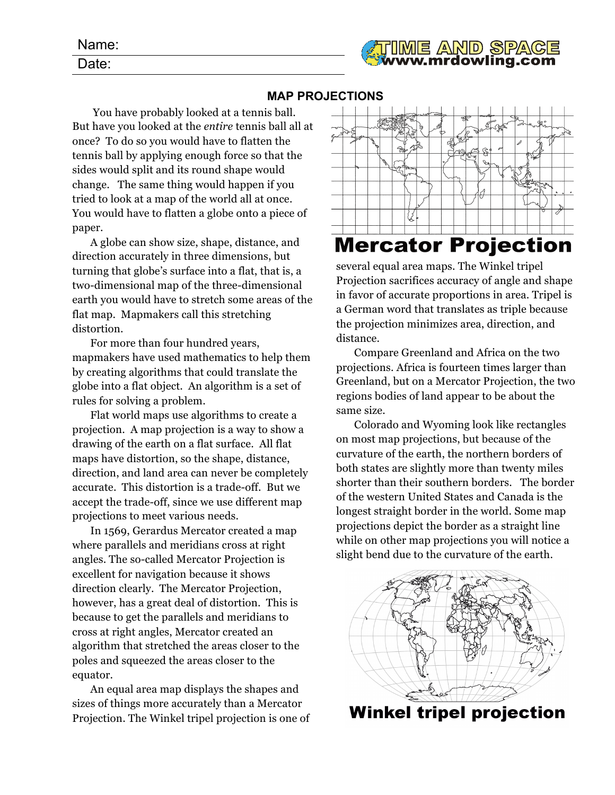| <b>TIME AND SPACE</b> |  |
|-----------------------|--|
|                       |  |

## **MAP PROJECTIONS**

You have probably looked at a tennis ball. But have you looked at the *entire* tennis ball all at once? To do so you would have to flatten the tennis ball by applying enough force so that the sides would split and its round shape would change. The same thing would happen if you tried to look at a map of the world all at once. You would have to flatten a globe onto a piece of paper.

A globe can show size, shape, distance, and direction accurately in three dimensions, but turning that globe's surface into a flat, that is, a two-dimensional map of the three-dimensional earth you would have to stretch some areas of the flat map. Mapmakers call this stretching distortion.

For more than four hundred years, mapmakers have used mathematics to help them by creating algorithms that could translate the globe into a flat object. An algorithm is a set of rules for solving a problem.

Flat world maps use algorithms to create a projection. A map projection is a way to show a drawing of the earth on a flat surface. All flat maps have distortion, so the shape, distance, direction, and land area can never be completely accurate. This distortion is a trade-off. But we accept the trade-off, since we use different map projections to meet various needs.

In 1569, Gerardus Mercator created a map where parallels and meridians cross at right angles. The so-called Mercator Projection is excellent for navigation because it shows direction clearly. The Mercator Projection, however, has a great deal of distortion. This is because to get the parallels and meridians to cross at right angles, Mercator created an algorithm that stretched the areas closer to the poles and squeezed the areas closer to the equator.

An equal area map displays the shapes and sizes of things more accurately than a Mercator Projection. The Winkel tripel projection is one of



several equal area maps. The Winkel tripel Projection sacrifices accuracy of angle and shape in favor of accurate proportions in area. Tripel is a German word that translates as triple because the projection minimizes area, direction, and distance.

Compare Greenland and Africa on the two projections. Africa is fourteen times larger than Greenland, but on a Mercator Projection, the two regions bodies of land appear to be about the same size.

Colorado and Wyoming look like rectangles on most map projections, but because of the curvature of the earth, the northern borders of both states are slightly more than twenty miles shorter than their southern borders. The border of the western United States and Canada is the longest straight border in the world. Some map projections depict the border as a straight line while on other map projections you will notice a slight bend due to the curvature of the earth.



**Winkel tripel projection**